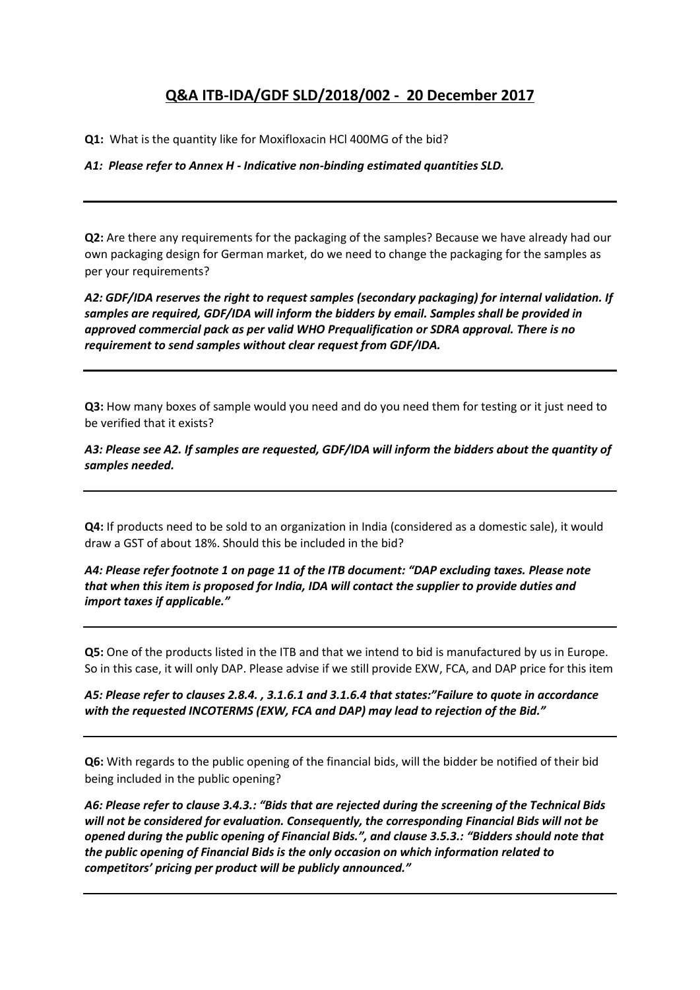# **Q&A ITB-IDA/GDF SLD/2018/002 - 20 December 2017**

**Q1:** What is the quantity like for Moxifloxacin HCl 400MG of the bid?

*A1: Please refer to Annex H - Indicative non-binding estimated quantities SLD.*

**Q2:** Are there any requirements for the packaging of the samples? Because we have already had our own packaging design for German market, do we need to change the packaging for the samples as per your requirements?

*A2: GDF/IDA reserves the right to request samples (secondary packaging) for internal validation. If samples are required, GDF/IDA will inform the bidders by email. Samples shall be provided in approved commercial pack as per valid WHO Prequalification or SDRA approval. There is no requirement to send samples without clear request from GDF/IDA.*

**Q3:** How many boxes of sample would you need and do you need them for testing or it just need to be verified that it exists?

*A3: Please see A2. If samples are requested, GDF/IDA will inform the bidders about the quantity of samples needed.*

**Q4:** If products need to be sold to an organization in India (considered as a domestic sale), it would draw a GST of about 18%. Should this be included in the bid?

*A4: Please refer footnote 1 on page 11 of the ITB document: "DAP excluding taxes. Please note that when this item is proposed for India, IDA will contact the supplier to provide duties and import taxes if applicable."* 

**Q5:** One of the products listed in the ITB and that we intend to bid is manufactured by us in Europe. So in this case, it will only DAP. Please advise if we still provide EXW, FCA, and DAP price for this item

*A5: Please refer to clauses 2.8.4. , 3.1.6.1 and 3.1.6.4 that states:"Failure to quote in accordance with the requested INCOTERMS (EXW, FCA and DAP) may lead to rejection of the Bid."*

**Q6:** With regards to the public opening of the financial bids, will the bidder be notified of their bid being included in the public opening?

*A6: Please refer to clause 3.4.3.: "Bids that are rejected during the screening of the Technical Bids will not be considered for evaluation. Consequently, the corresponding Financial Bids will not be opened during the public opening of Financial Bids.", and clause 3.5.3.: "Bidders should note that the public opening of Financial Bids is the only occasion on which information related to competitors' pricing per product will be publicly announced."*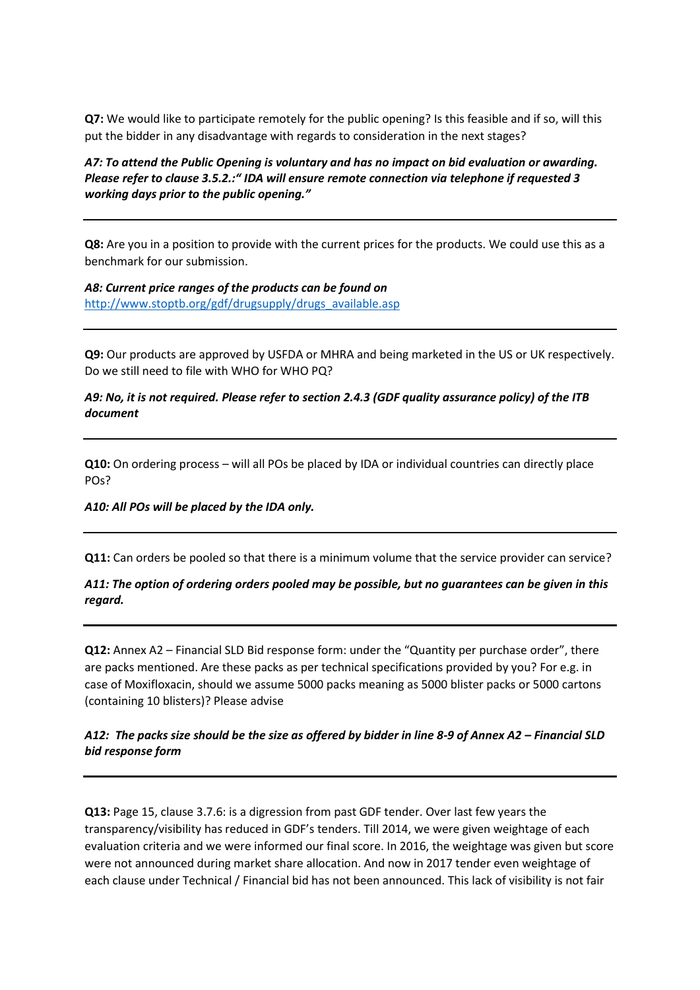**Q7:** We would like to participate remotely for the public opening? Is this feasible and if so, will this put the bidder in any disadvantage with regards to consideration in the next stages?

*A7: To attend the Public Opening is voluntary and has no impact on bid evaluation or awarding. Please refer to clause 3.5.2.:" IDA will ensure remote connection via telephone if requested 3 working days prior to the public opening."*

**Q8:** Are you in a position to provide with the current prices for the products. We could use this as a benchmark for our submission.

*A8: Current price ranges of the products can be found on*  [http://www.stoptb.org/gdf/drugsupply/drugs\\_available.asp](http://www.stoptb.org/gdf/drugsupply/drugs_available.asp)

**Q9:** Our products are approved by USFDA or MHRA and being marketed in the US or UK respectively. Do we still need to file with WHO for WHO PQ?

### *A9: No, it is not required. Please refer to section 2.4.3 (GDF quality assurance policy) of the ITB document*

**Q10:** On ordering process – will all POs be placed by IDA or individual countries can directly place POs?

#### *A10: All POs will be placed by the IDA only.*

**Q11:** Can orders be pooled so that there is a minimum volume that the service provider can service?

*A11: The option of ordering orders pooled may be possible, but no guarantees can be given in this regard.*

**Q12:** Annex A2 – Financial SLD Bid response form: under the "Quantity per purchase order", there are packs mentioned. Are these packs as per technical specifications provided by you? For e.g. in case of Moxifloxacin, should we assume 5000 packs meaning as 5000 blister packs or 5000 cartons (containing 10 blisters)? Please advise

## *A12: The packs size should be the size as offered by bidder in line 8-9 of Annex A2 – Financial SLD bid response form*

**Q13:** Page 15, clause 3.7.6: is a digression from past GDF tender. Over last few years the transparency/visibility has reduced in GDF's tenders. Till 2014, we were given weightage of each evaluation criteria and we were informed our final score. In 2016, the weightage was given but score were not announced during market share allocation. And now in 2017 tender even weightage of each clause under Technical / Financial bid has not been announced. This lack of visibility is not fair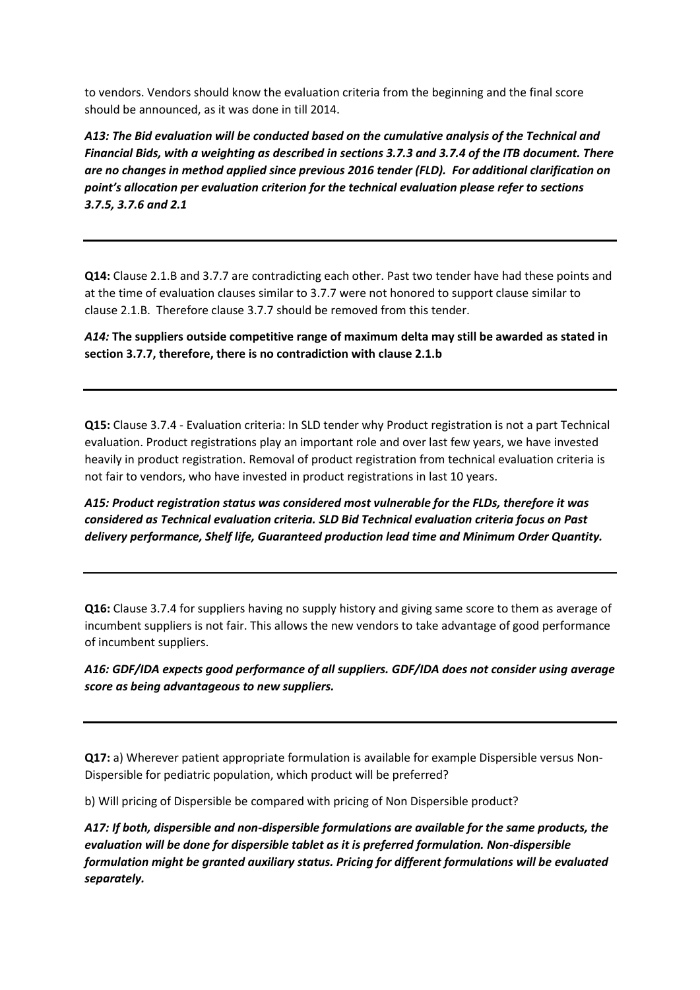to vendors. Vendors should know the evaluation criteria from the beginning and the final score should be announced, as it was done in till 2014.

*A13: The Bid evaluation will be conducted based on the cumulative analysis of the Technical and Financial Bids, with a weighting as described in sections 3.7.3 and 3.7.4 of the ITB document. There are no changes in method applied since previous 2016 tender (FLD). For additional clarification on point's allocation per evaluation criterion for the technical evaluation please refer to sections 3.7.5, 3.7.6 and 2.1*

**Q14:** Clause 2.1.B and 3.7.7 are contradicting each other. Past two tender have had these points and at the time of evaluation clauses similar to 3.7.7 were not honored to support clause similar to clause 2.1.B. Therefore clause 3.7.7 should be removed from this tender.

*A14:* **The suppliers outside competitive range of maximum delta may still be awarded as stated in section 3.7.7, therefore, there is no contradiction with clause 2.1.b**

**Q15:** Clause 3.7.4 - Evaluation criteria: In SLD tender why Product registration is not a part Technical evaluation. Product registrations play an important role and over last few years, we have invested heavily in product registration. Removal of product registration from technical evaluation criteria is not fair to vendors, who have invested in product registrations in last 10 years.

*A15: Product registration status was considered most vulnerable for the FLDs, therefore it was considered as Technical evaluation criteria. SLD Bid Technical evaluation criteria focus on Past delivery performance, Shelf life, Guaranteed production lead time and Minimum Order Quantity.* 

**Q16:** Clause 3.7.4 for suppliers having no supply history and giving same score to them as average of incumbent suppliers is not fair. This allows the new vendors to take advantage of good performance of incumbent suppliers.

*A16: GDF/IDA expects good performance of all suppliers. GDF/IDA does not consider using average score as being advantageous to new suppliers.* 

**Q17:** a) Wherever patient appropriate formulation is available for example Dispersible versus Non-Dispersible for pediatric population, which product will be preferred?

b) Will pricing of Dispersible be compared with pricing of Non Dispersible product?

*A17: If both, dispersible and non-dispersible formulations are available for the same products, the evaluation will be done for dispersible tablet as it is preferred formulation. Non-dispersible formulation might be granted auxiliary status. Pricing for different formulations will be evaluated separately.*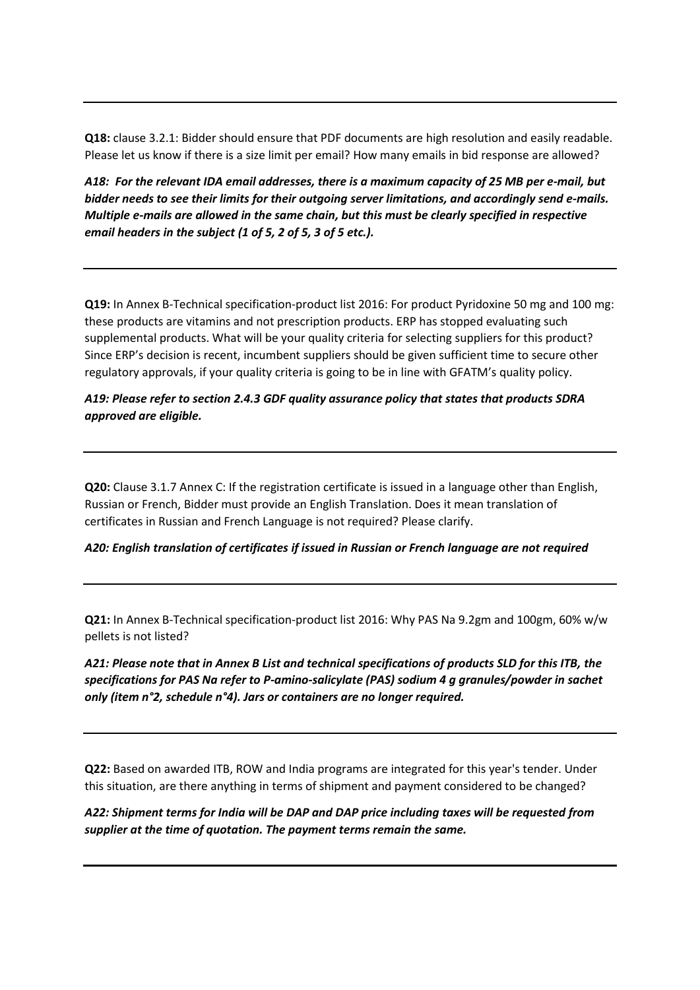**Q18:** clause 3.2.1: Bidder should ensure that PDF documents are high resolution and easily readable. Please let us know if there is a size limit per email? How many emails in bid response are allowed?

*A18: For the relevant IDA email addresses, there is a maximum capacity of 25 MB per e-mail, but bidder needs to see their limits for their outgoing server limitations, and accordingly send e-mails. Multiple e-mails are allowed in the same chain, but this must be clearly specified in respective email headers in the subject (1 of 5, 2 of 5, 3 of 5 etc.).*

**Q19:** In Annex B-Technical specification-product list 2016: For product Pyridoxine 50 mg and 100 mg: these products are vitamins and not prescription products. ERP has stopped evaluating such supplemental products. What will be your quality criteria for selecting suppliers for this product? Since ERP's decision is recent, incumbent suppliers should be given sufficient time to secure other regulatory approvals, if your quality criteria is going to be in line with GFATM's quality policy.

# *A19: Please refer to section 2.4.3 GDF quality assurance policy that states that products SDRA approved are eligible.*

**Q20:** Clause 3.1.7 Annex C: If the registration certificate is issued in a language other than English, Russian or French, Bidder must provide an English Translation. Does it mean translation of certificates in Russian and French Language is not required? Please clarify.

#### *A20: English translation of certificates if issued in Russian or French language are not required*

**Q21:** In Annex B-Technical specification-product list 2016: Why PAS Na 9.2gm and 100gm, 60% w/w pellets is not listed?

*A21: Please note that in Annex B List and technical specifications of products SLD for this ITB, the specifications for PAS Na refer to P-amino-salicylate (PAS) sodium 4 g granules/powder in sachet only (item n°2, schedule n°4). Jars or containers are no longer required.* 

**Q22:** Based on awarded ITB, ROW and India programs are integrated for this year's tender. Under this situation, are there anything in terms of shipment and payment considered to be changed?

*A22: Shipment terms for India will be DAP and DAP price including taxes will be requested from supplier at the time of quotation. The payment terms remain the same.*